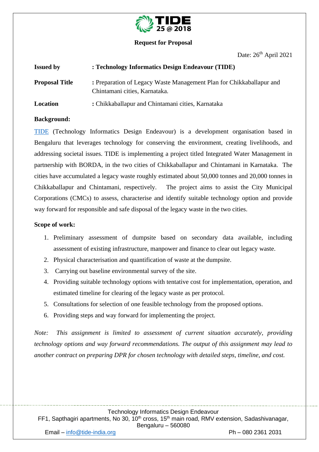

### **Request for Proposal**

Date:  $26<sup>th</sup>$  April 2021

| <b>Issued by</b>      | : Technology Informatics Design Endeavour (TIDE)                                                      |  |
|-----------------------|-------------------------------------------------------------------------------------------------------|--|
| <b>Proposal Title</b> | : Preparation of Legacy Waste Management Plan for Chikkaballapur and<br>Chintamani cities, Karnataka. |  |
| Location              | : Chikkaballapur and Chintamani cities, Karnataka                                                     |  |

### **Background:**

[TIDE](https://tide-india.org/) (Technology Informatics Design Endeavour) is a development organisation based in Bengaluru that leverages technology for conserving the environment, creating livelihoods, and addressing societal issues. TIDE is implementing a project titled Integrated Water Management in partnership with BORDA, in the two cities of Chikkaballapur and Chintamani in Karnataka. The cities have accumulated a legacy waste roughly estimated about 50,000 tonnes and 20,000 tonnes in Chikkaballapur and Chintamani, respectively. The project aims to assist the City Municipal Corporations (CMCs) to assess, characterise and identify suitable technology option and provide way forward for responsible and safe disposal of the legacy waste in the two cities.

#### **Scope of work:**

- 1. Preliminary assessment of dumpsite based on secondary data available, including assessment of existing infrastructure, manpower and finance to clear out legacy waste.
- 2. Physical characterisation and quantification of waste at the dumpsite.
- 3. Carrying out baseline environmental survey of the site.
- 4. Providing suitable technology options with tentative cost for implementation, operation, and estimated timeline for clearing of the legacy waste as per protocol.
- 5. Consultations for selection of one feasible technology from the proposed options.
- 6. Providing steps and way forward for implementing the project.

*Note: This assignment is limited to assessment of current situation accurately, providing technology options and way forward recommendations. The output of this assignment may lead to another contract on preparing DPR for chosen technology with detailed steps, timeline, and cost.*

Technology Informatics Design Endeavour

FF1, Sapthagiri apartments, No 30, 10<sup>th</sup> cross, 15<sup>th</sup> main road, RMV extension, Sadashivanagar, Bengaluru – 560080

Email – [info@tide-india.org](mailto:info@tide-india.org) Ph – 080 2361 2031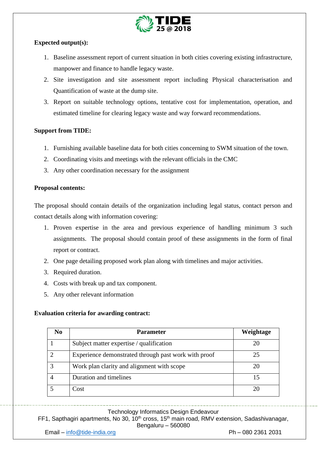

# **Expected output(s):**

- 1. Baseline assessment report of current situation in both cities covering existing infrastructure, manpower and finance to handle legacy waste.
- 2. Site investigation and site assessment report including Physical characterisation and Quantification of waste at the dump site.
- 3. Report on suitable technology options, tentative cost for implementation, operation, and estimated timeline for clearing legacy waste and way forward recommendations.

# **Support from TIDE:**

- 1. Furnishing available baseline data for both cities concerning to SWM situation of the town.
- 2. Coordinating visits and meetings with the relevant officials in the CMC
- 3. Any other coordination necessary for the assignment

### **Proposal contents:**

The proposal should contain details of the organization including legal status, contact person and contact details along with information covering:

- 1. Proven expertise in the area and previous experience of handling minimum 3 such assignments. The proposal should contain proof of these assignments in the form of final report or contract.
- 2. One page detailing proposed work plan along with timelines and major activities.
- 3. Required duration.
- 4. Costs with break up and tax component.
- 5. Any other relevant information

## **Evaluation criteria for awarding contract:**

| No | <b>Parameter</b>                                     | Weightage |
|----|------------------------------------------------------|-----------|
|    | Subject matter expertise / qualification             |           |
|    | Experience demonstrated through past work with proof | 25        |
|    | Work plan clarity and alignment with scope           |           |
|    | Duration and timelines                               |           |
|    | Cost                                                 |           |

# Technology Informatics Design Endeavour

FF1, Sapthagiri apartments, No 30, 10<sup>th</sup> cross, 15<sup>th</sup> main road, RMV extension, Sadashivanagar, Bengaluru – 560080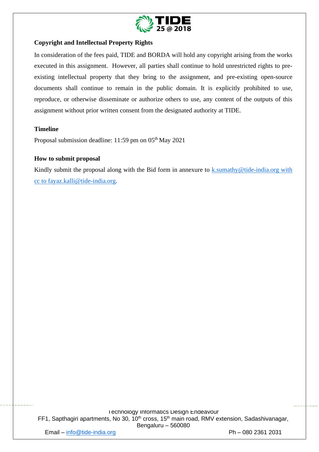

## **Copyright and Intellectual Property Rights**

In consideration of the fees paid, TIDE and BORDA will hold any copyright arising from the works executed in this assignment. However, all parties shall continue to hold unrestricted rights to preexisting intellectual property that they bring to the assignment, and pre-existing open-source documents shall continue to remain in the public domain. It is explicitly prohibited to use, reproduce, or otherwise disseminate or authorize others to use, any content of the outputs of this assignment without prior written consent from the designated authority at TIDE.

## **Timeline**

Proposal submission deadline:  $11:59$  pm on  $05<sup>th</sup>$  May 2021

#### **How to submit proposal**

Kindly submit the proposal along with the Bid form in annexure to [k.sumathy@tide-india.org](mailto:k.sumathy@tide-india.org) with cc to fayaz.kalli@tide-india.org.